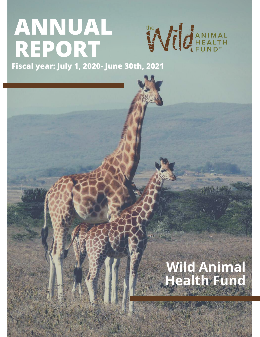# **ANNUAL REPORT**



**Fiscal year: July 1, 2020- June 30th, 2021**

## **Wild Animal Health Fund**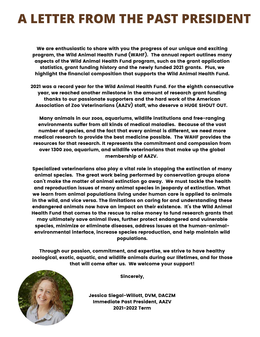## **A LETTER FROM THE PAST PRESIDENT**

We are enthusiastic to share with you the progress of our unique and exciting program, the Wild Animal Health Fund (WAHF). The annual report outlines many aspects of the Wild Animal Health Fund program, such as the grant application statistics, grant funding history and the newly funded 2021 grants. Plus, we highlight the financial composition that supports the Wild Animal Health Fund.

2021 was a record year for the Wild Animal Health Fund. For the eighth consecutive year, we reached another milestone in the amount of research grant funding thanks to our passionate supporters and the hard work of the American Association of Zoo Veterinarians (AAZV) staff, who deserve a HUGE SHOUT OUT.

Many animals in our zoos, aquariums, wildlife institutions and free-ranging environments suffer from all kinds of medical maladies. Because of the vast number of species, and the fact that every animal is different, we need more medical research to provide the best medicine possible. The WAHF provides the resources for that research. It represents the commitment and compassion from over 1300 zoo, aquarium, and wildlife veterinarians that make up the global membership of AAZV.

Specialized veterinarians also play a vital role in stopping the extinction of many animal species. The great work being performed by conservation groups alone can't make the matter of animal extinction go away. We must tackle the health and reproduction issues of many animal species in jeopardy of extinction. What we learn from animal populations living under human care is applied to animals in the wild, and vice versa. The limitations on caring for and understanding these endangered animals now have an impact on their existence. It's the Wild Animal Health Fund that comes to the rescue to raise money to fund research grants that may ultimately save animal lives, further protect endangered and vulnerable species, minimize or eliminate diseases, address issues at the human-animalenvironmental interface, increase species reproduction, and help maintain wild populations.

Through our passion, commitment, and expertise, we strive to have healthy zoological, exotic, aquatic, and wildlife animals during our lifetimes, and for those that will come after us. We welcome your support!



Sincerely,

Jessica Siegal-Willott, DVM, DACZM Immediate Past President, AAZV 2021-2022 Term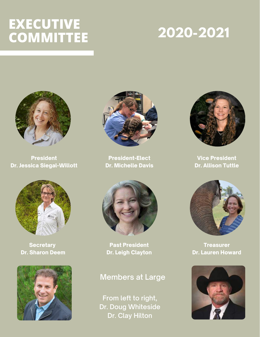## **EXECUTIVE COMMITTEE**

## **2020-2021**



**President** Dr. Jessica Siegal-Willott



**Secretary** Dr. Sharon Deem





President-Elect Dr. Michelle Davis



Past President Dr. Leigh Clayton

### **Members at Large**

**From left to right, Dr. Doug Whiteside Dr. Clay Hilton**



Vice President Dr. Allison Tuttle



**Treasurer** Dr. Lauren Howard

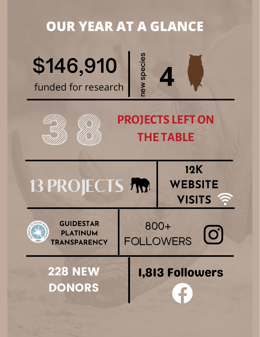### **OUR YEAR AT A GLANCE \$146,910** funded for research **newspecie s4 PROJECTS LEFTON THE TABLE** 13 PROJECTS FINA **12K WEBSITE VISITS** 800+ FOLLOWERS<sup>C</sup> **GUIDESTAR PLATINUM TRANSPARENCY** 228 NEW 1,813 Followers DONORS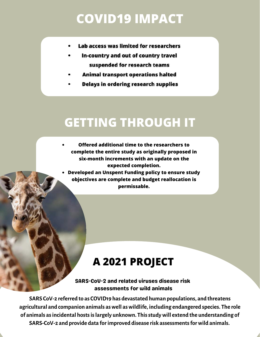## **COVID19 IMPACT**

- Lab access was limited for researchers
- In-country and out of country travel suspended for research teams
- Animal transport operations halted
- **Delays in ordering research supplies**

## **GETTING THROUGH IT**

- **Offered additional time to the researchers to complete the entire study as originally proposed in six-month increments with an update on the expected completion.**
- **Developed an Unspent Funding policy to ensure study objectives are complete and budget reallocation is permissable.**

### **A 2021 PROJECT**

SARS-CoV-2 and related viruses disease risk assessments for wild animals

**SARS CoV-2 referred to as COVID19 has devastated human populations, and threatens agricultural and companion animals aswell aswildlife, including endangered species. The role of animals asincidental hostsislargely unknown. Thisstudywill extend the understanding of SARS-CoV-2 and provide data forimproved disease risk assessmentsforwild animals.**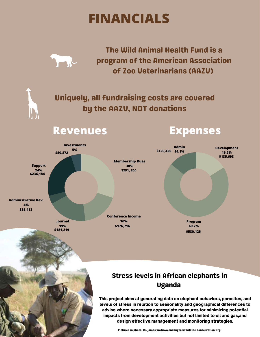## **FINANCIALS**



N W

The Wild Animal Health Fund is a program of the American Association of Zoo Veterinarians (AAZV)

Uniquely, all fundraising costs are covered by the AAZV, NOT donations

### **Revenues Expenses**



### Stress levels in African elephants in Uganda

This project aims at generating data on elephant behaviors, parasites, and levels of stress in relation to seasonality and geographical differences to advise where necessary appropriate measures for minimizing potential impacts from development activities but not limited to oil and gas,and design effective management and monitoring strategies.

**Pictured in photo: Dr. James Watuwa-Endangered Wildlife Conservation Org.**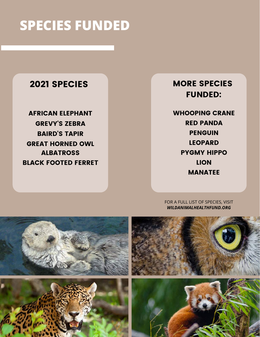## **SPECIES FUNDED**

### 2021 SPECIES

AFRICAN ELEPHANT GREVY'S ZEBRA BAIRD'S TAPIR GREAT HORNED OWL ALBATROSS BLACK FOOTED FERRET

### MORE SPECIES FUNDED:

WHOOPING CRANE RED PANDA PENGUIN LEOPARD PYGMY HIPPO LION MANATEE

### FOR A FULL LIST OF SPECIES, VISIT *WILDANIMALHEALTHFUND.ORG*